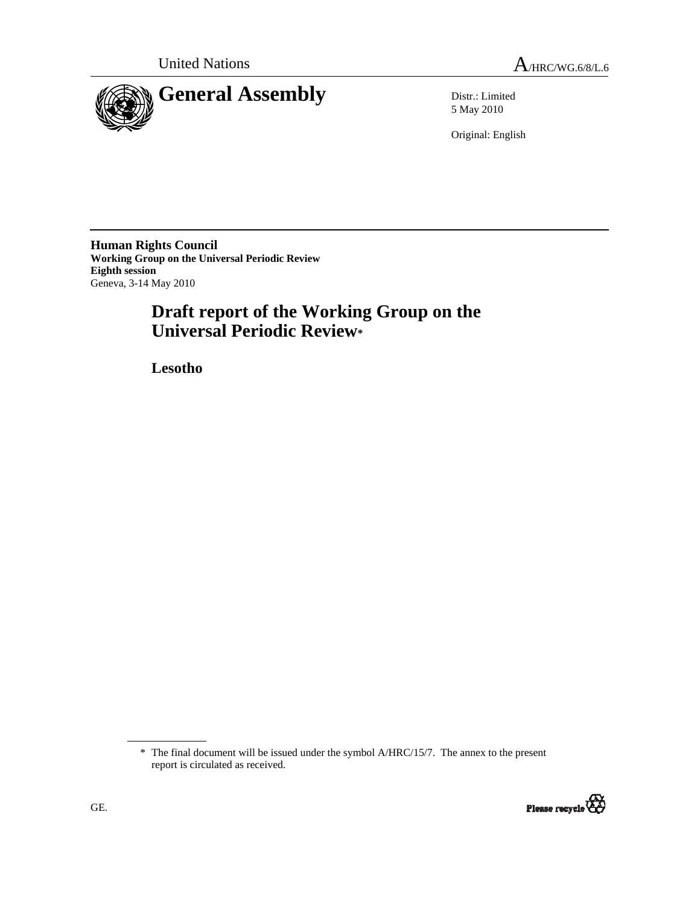

5 May 2010

Original: English

**Human Rights Council Working Group on the Universal Periodic Review Eighth session**  Geneva, 3-14 May 2010

# **Draft report of the Working Group on the Universal Periodic Review\***

 **Lesotho** 

<sup>\*</sup> The final document will be issued under the symbol A/HRC/15/7. The annex to the present report is circulated as received.

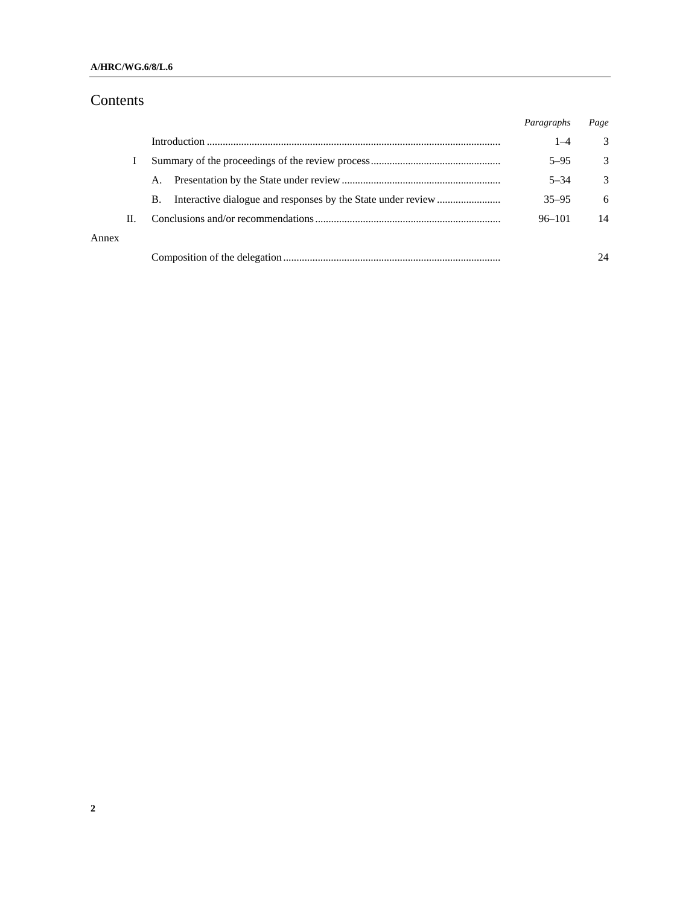### **A/HRC/WG.6/8/L.6**

# Contents

|       |    |    | Paragraphs | Page          |
|-------|----|----|------------|---------------|
|       |    |    | $1 - 4$    | 3             |
|       |    |    | $5 - 95$   | 3             |
|       |    | А. | $5 - 34$   | $\mathcal{Z}$ |
|       |    | B. | $35 - 95$  | 6             |
|       | H. |    | $96 - 101$ | 14            |
| Annex |    |    |            |               |
|       |    |    |            | 24            |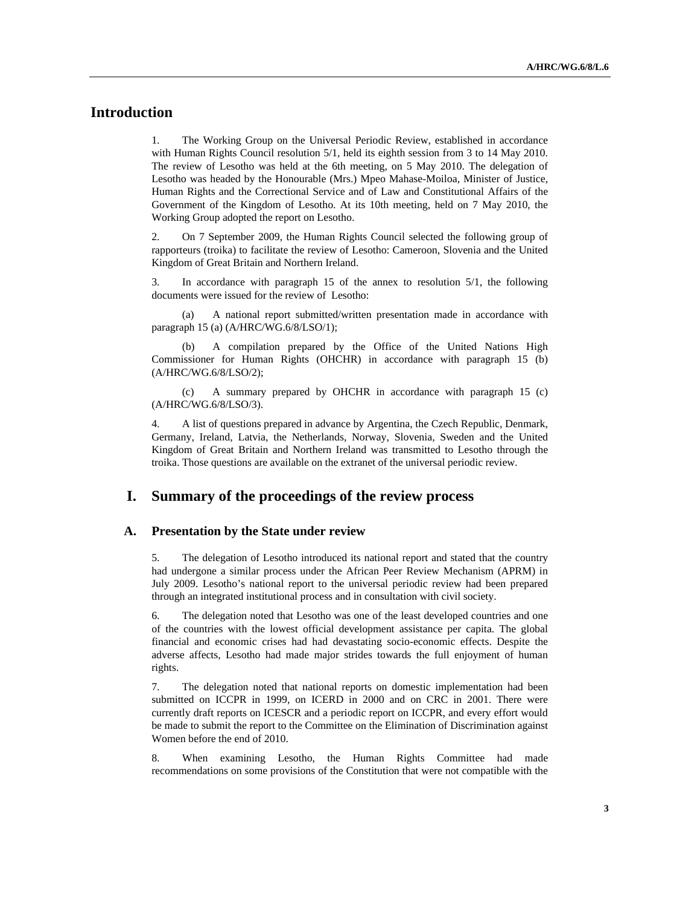# **Introduction**

1. The Working Group on the Universal Periodic Review, established in accordance with Human Rights Council resolution  $5/1$ , held its eighth session from 3 to 14 May 2010. The review of Lesotho was held at the 6th meeting, on 5 May 2010. The delegation of Lesotho was headed by the Honourable (Mrs.) Mpeo Mahase-Moiloa, Minister of Justice, Human Rights and the Correctional Service and of Law and Constitutional Affairs of the Government of the Kingdom of Lesotho. At its 10th meeting, held on 7 May 2010, the Working Group adopted the report on Lesotho.

2. On 7 September 2009, the Human Rights Council selected the following group of rapporteurs (troika) to facilitate the review of Lesotho: Cameroon, Slovenia and the United Kingdom of Great Britain and Northern Ireland.

3. In accordance with paragraph 15 of the annex to resolution 5/1, the following documents were issued for the review of Lesotho:

 (a) A national report submitted/written presentation made in accordance with paragraph 15 (a) (A/HRC/WG.6/8/LSO/1);

A compilation prepared by the Office of the United Nations High Commissioner for Human Rights (OHCHR) in accordance with paragraph 15 (b) (A/HRC/WG.6/8/LSO/2);

 (c) A summary prepared by OHCHR in accordance with paragraph 15 (c) (A/HRC/WG.6/8/LSO/3).

4. A list of questions prepared in advance by Argentina, the Czech Republic, Denmark, Germany, Ireland, Latvia, the Netherlands, Norway, Slovenia, Sweden and the United Kingdom of Great Britain and Northern Ireland was transmitted to Lesotho through the troika. Those questions are available on the extranet of the universal periodic review.

### **I. Summary of the proceedings of the review process**

#### **A. Presentation by the State under review**

5. The delegation of Lesotho introduced its national report and stated that the country had undergone a similar process under the African Peer Review Mechanism (APRM) in July 2009. Lesotho's national report to the universal periodic review had been prepared through an integrated institutional process and in consultation with civil society.

6. The delegation noted that Lesotho was one of the least developed countries and one of the countries with the lowest official development assistance per capita. The global financial and economic crises had had devastating socio-economic effects. Despite the adverse affects, Lesotho had made major strides towards the full enjoyment of human rights.

7. The delegation noted that national reports on domestic implementation had been submitted on ICCPR in 1999, on ICERD in 2000 and on CRC in 2001. There were currently draft reports on ICESCR and a periodic report on ICCPR, and every effort would be made to submit the report to the Committee on the Elimination of Discrimination against Women before the end of 2010.

8. When examining Lesotho, the Human Rights Committee had made recommendations on some provisions of the Constitution that were not compatible with the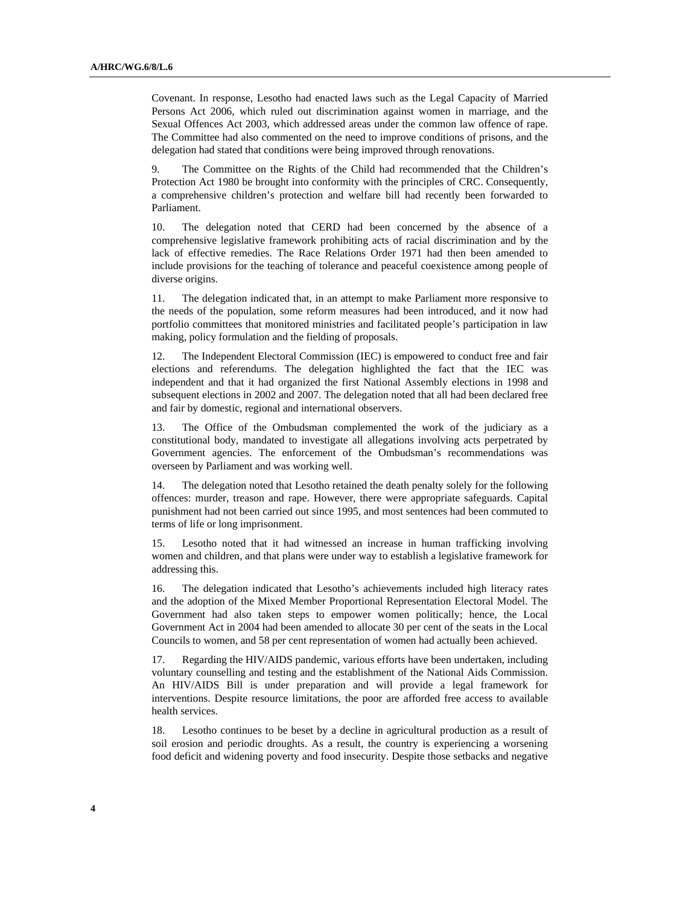Covenant. In response, Lesotho had enacted laws such as the Legal Capacity of Married Persons Act 2006, which ruled out discrimination against women in marriage, and the Sexual Offences Act 2003, which addressed areas under the common law offence of rape. The Committee had also commented on the need to improve conditions of prisons, and the delegation had stated that conditions were being improved through renovations.

9. The Committee on the Rights of the Child had recommended that the Children's Protection Act 1980 be brought into conformity with the principles of CRC. Consequently, a comprehensive children's protection and welfare bill had recently been forwarded to Parliament.

10. The delegation noted that CERD had been concerned by the absence of a comprehensive legislative framework prohibiting acts of racial discrimination and by the lack of effective remedies. The Race Relations Order 1971 had then been amended to include provisions for the teaching of tolerance and peaceful coexistence among people of diverse origins.

11. The delegation indicated that, in an attempt to make Parliament more responsive to the needs of the population, some reform measures had been introduced, and it now had portfolio committees that monitored ministries and facilitated people's participation in law making, policy formulation and the fielding of proposals.

12. The Independent Electoral Commission (IEC) is empowered to conduct free and fair elections and referendums. The delegation highlighted the fact that the IEC was independent and that it had organized the first National Assembly elections in 1998 and subsequent elections in 2002 and 2007. The delegation noted that all had been declared free and fair by domestic, regional and international observers.

13. The Office of the Ombudsman complemented the work of the judiciary as a constitutional body, mandated to investigate all allegations involving acts perpetrated by Government agencies. The enforcement of the Ombudsman's recommendations was overseen by Parliament and was working well.

14. The delegation noted that Lesotho retained the death penalty solely for the following offences: murder, treason and rape. However, there were appropriate safeguards. Capital punishment had not been carried out since 1995, and most sentences had been commuted to terms of life or long imprisonment.

15. Lesotho noted that it had witnessed an increase in human trafficking involving women and children, and that plans were under way to establish a legislative framework for addressing this.

16. The delegation indicated that Lesotho's achievements included high literacy rates and the adoption of the Mixed Member Proportional Representation Electoral Model. The Government had also taken steps to empower women politically; hence, the Local Government Act in 2004 had been amended to allocate 30 per cent of the seats in the Local Councils to women, and 58 per cent representation of women had actually been achieved.

17. Regarding the HIV/AIDS pandemic, various efforts have been undertaken, including voluntary counselling and testing and the establishment of the National Aids Commission. An HIV/AIDS Bill is under preparation and will provide a legal framework for interventions. Despite resource limitations, the poor are afforded free access to available health services.

18. Lesotho continues to be beset by a decline in agricultural production as a result of soil erosion and periodic droughts. As a result, the country is experiencing a worsening food deficit and widening poverty and food insecurity. Despite those setbacks and negative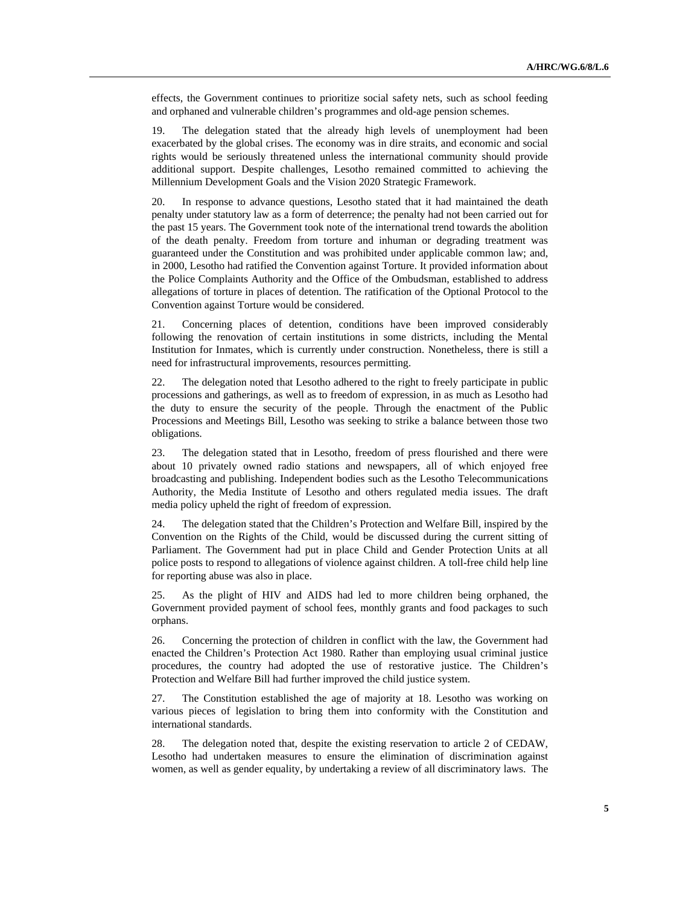effects, the Government continues to prioritize social safety nets, such as school feeding and orphaned and vulnerable children's programmes and old-age pension schemes.

19. The delegation stated that the already high levels of unemployment had been exacerbated by the global crises. The economy was in dire straits, and economic and social rights would be seriously threatened unless the international community should provide additional support. Despite challenges, Lesotho remained committed to achieving the Millennium Development Goals and the Vision 2020 Strategic Framework.

20. In response to advance questions, Lesotho stated that it had maintained the death penalty under statutory law as a form of deterrence; the penalty had not been carried out for the past 15 years. The Government took note of the international trend towards the abolition of the death penalty. Freedom from torture and inhuman or degrading treatment was guaranteed under the Constitution and was prohibited under applicable common law; and, in 2000, Lesotho had ratified the Convention against Torture. It provided information about the Police Complaints Authority and the Office of the Ombudsman, established to address allegations of torture in places of detention. The ratification of the Optional Protocol to the Convention against Torture would be considered.

21. Concerning places of detention, conditions have been improved considerably following the renovation of certain institutions in some districts, including the Mental Institution for Inmates, which is currently under construction. Nonetheless, there is still a need for infrastructural improvements, resources permitting.

22. The delegation noted that Lesotho adhered to the right to freely participate in public processions and gatherings, as well as to freedom of expression, in as much as Lesotho had the duty to ensure the security of the people. Through the enactment of the Public Processions and Meetings Bill, Lesotho was seeking to strike a balance between those two obligations.

23. The delegation stated that in Lesotho, freedom of press flourished and there were about 10 privately owned radio stations and newspapers, all of which enjoyed free broadcasting and publishing. Independent bodies such as the Lesotho Telecommunications Authority, the Media Institute of Lesotho and others regulated media issues. The draft media policy upheld the right of freedom of expression.

24. The delegation stated that the Children's Protection and Welfare Bill, inspired by the Convention on the Rights of the Child, would be discussed during the current sitting of Parliament. The Government had put in place Child and Gender Protection Units at all police posts to respond to allegations of violence against children. A toll-free child help line for reporting abuse was also in place.

25. As the plight of HIV and AIDS had led to more children being orphaned, the Government provided payment of school fees, monthly grants and food packages to such orphans.

26. Concerning the protection of children in conflict with the law, the Government had enacted the Children's Protection Act 1980. Rather than employing usual criminal justice procedures, the country had adopted the use of restorative justice. The Children's Protection and Welfare Bill had further improved the child justice system.

27. The Constitution established the age of majority at 18. Lesotho was working on various pieces of legislation to bring them into conformity with the Constitution and international standards.

28. The delegation noted that, despite the existing reservation to article 2 of CEDAW, Lesotho had undertaken measures to ensure the elimination of discrimination against women, as well as gender equality, by undertaking a review of all discriminatory laws. The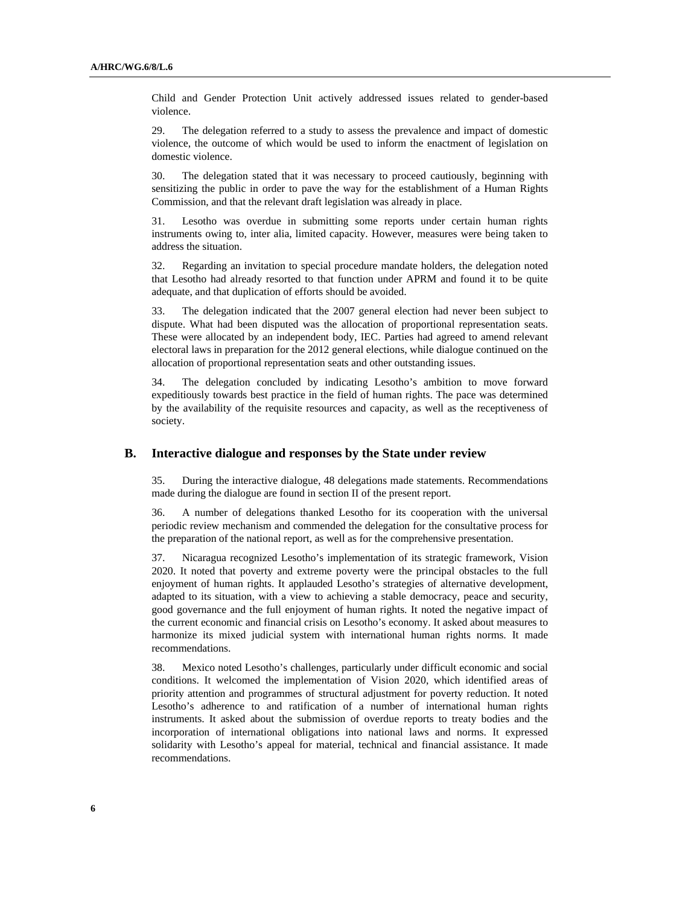Child and Gender Protection Unit actively addressed issues related to gender-based violence.

29. The delegation referred to a study to assess the prevalence and impact of domestic violence, the outcome of which would be used to inform the enactment of legislation on domestic violence.

30. The delegation stated that it was necessary to proceed cautiously, beginning with sensitizing the public in order to pave the way for the establishment of a Human Rights Commission, and that the relevant draft legislation was already in place.

31. Lesotho was overdue in submitting some reports under certain human rights instruments owing to, inter alia, limited capacity. However, measures were being taken to address the situation.

32. Regarding an invitation to special procedure mandate holders, the delegation noted that Lesotho had already resorted to that function under APRM and found it to be quite adequate, and that duplication of efforts should be avoided.

33. The delegation indicated that the 2007 general election had never been subject to dispute. What had been disputed was the allocation of proportional representation seats. These were allocated by an independent body, IEC. Parties had agreed to amend relevant electoral laws in preparation for the 2012 general elections, while dialogue continued on the allocation of proportional representation seats and other outstanding issues.

34. The delegation concluded by indicating Lesotho's ambition to move forward expeditiously towards best practice in the field of human rights. The pace was determined by the availability of the requisite resources and capacity, as well as the receptiveness of society.

#### **B. Interactive dialogue and responses by the State under review**

35. During the interactive dialogue, 48 delegations made statements. Recommendations made during the dialogue are found in section II of the present report.

36. A number of delegations thanked Lesotho for its cooperation with the universal periodic review mechanism and commended the delegation for the consultative process for the preparation of the national report, as well as for the comprehensive presentation.

37. Nicaragua recognized Lesotho's implementation of its strategic framework, Vision 2020. It noted that poverty and extreme poverty were the principal obstacles to the full enjoyment of human rights. It applauded Lesotho's strategies of alternative development, adapted to its situation, with a view to achieving a stable democracy, peace and security, good governance and the full enjoyment of human rights. It noted the negative impact of the current economic and financial crisis on Lesotho's economy. It asked about measures to harmonize its mixed judicial system with international human rights norms. It made recommendations.

38. Mexico noted Lesotho's challenges, particularly under difficult economic and social conditions. It welcomed the implementation of Vision 2020, which identified areas of priority attention and programmes of structural adjustment for poverty reduction. It noted Lesotho's adherence to and ratification of a number of international human rights instruments. It asked about the submission of overdue reports to treaty bodies and the incorporation of international obligations into national laws and norms. It expressed solidarity with Lesotho's appeal for material, technical and financial assistance. It made recommendations.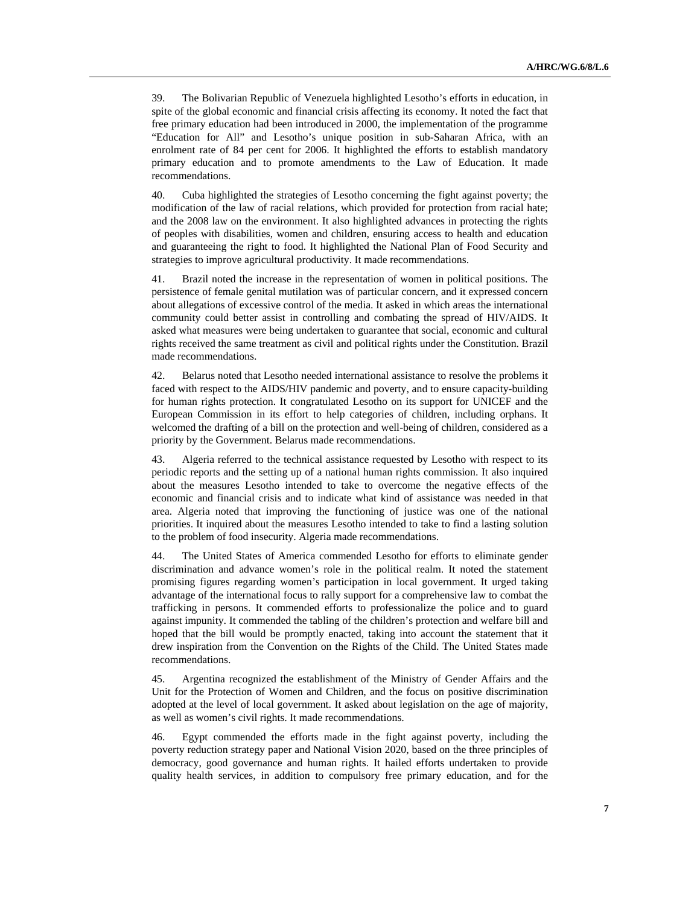39. The Bolivarian Republic of Venezuela highlighted Lesotho's efforts in education, in spite of the global economic and financial crisis affecting its economy. It noted the fact that free primary education had been introduced in 2000, the implementation of the programme "Education for All" and Lesotho's unique position in sub-Saharan Africa, with an enrolment rate of 84 per cent for 2006. It highlighted the efforts to establish mandatory primary education and to promote amendments to the Law of Education. It made recommendations.

40. Cuba highlighted the strategies of Lesotho concerning the fight against poverty; the modification of the law of racial relations, which provided for protection from racial hate; and the 2008 law on the environment. It also highlighted advances in protecting the rights of peoples with disabilities, women and children, ensuring access to health and education and guaranteeing the right to food. It highlighted the National Plan of Food Security and strategies to improve agricultural productivity. It made recommendations.

41. Brazil noted the increase in the representation of women in political positions. The persistence of female genital mutilation was of particular concern, and it expressed concern about allegations of excessive control of the media. It asked in which areas the international community could better assist in controlling and combating the spread of HIV/AIDS. It asked what measures were being undertaken to guarantee that social, economic and cultural rights received the same treatment as civil and political rights under the Constitution. Brazil made recommendations.

42. Belarus noted that Lesotho needed international assistance to resolve the problems it faced with respect to the AIDS/HIV pandemic and poverty, and to ensure capacity-building for human rights protection. It congratulated Lesotho on its support for UNICEF and the European Commission in its effort to help categories of children, including orphans. It welcomed the drafting of a bill on the protection and well-being of children, considered as a priority by the Government. Belarus made recommendations.

43. Algeria referred to the technical assistance requested by Lesotho with respect to its periodic reports and the setting up of a national human rights commission. It also inquired about the measures Lesotho intended to take to overcome the negative effects of the economic and financial crisis and to indicate what kind of assistance was needed in that area. Algeria noted that improving the functioning of justice was one of the national priorities. It inquired about the measures Lesotho intended to take to find a lasting solution to the problem of food insecurity. Algeria made recommendations.

44. The United States of America commended Lesotho for efforts to eliminate gender discrimination and advance women's role in the political realm. It noted the statement promising figures regarding women's participation in local government. It urged taking advantage of the international focus to rally support for a comprehensive law to combat the trafficking in persons. It commended efforts to professionalize the police and to guard against impunity. It commended the tabling of the children's protection and welfare bill and hoped that the bill would be promptly enacted, taking into account the statement that it drew inspiration from the Convention on the Rights of the Child. The United States made recommendations.

45. Argentina recognized the establishment of the Ministry of Gender Affairs and the Unit for the Protection of Women and Children, and the focus on positive discrimination adopted at the level of local government. It asked about legislation on the age of majority, as well as women's civil rights. It made recommendations.

46. Egypt commended the efforts made in the fight against poverty, including the poverty reduction strategy paper and National Vision 2020, based on the three principles of democracy, good governance and human rights. It hailed efforts undertaken to provide quality health services, in addition to compulsory free primary education, and for the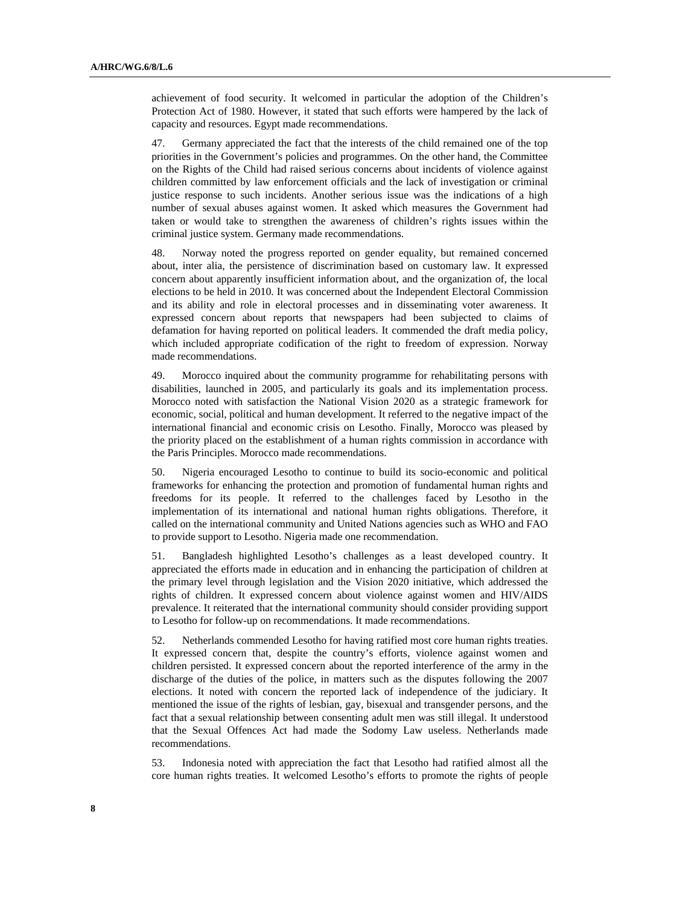achievement of food security. It welcomed in particular the adoption of the Children's Protection Act of 1980. However, it stated that such efforts were hampered by the lack of capacity and resources. Egypt made recommendations.

47. Germany appreciated the fact that the interests of the child remained one of the top priorities in the Government's policies and programmes. On the other hand, the Committee on the Rights of the Child had raised serious concerns about incidents of violence against children committed by law enforcement officials and the lack of investigation or criminal justice response to such incidents. Another serious issue was the indications of a high number of sexual abuses against women. It asked which measures the Government had taken or would take to strengthen the awareness of children's rights issues within the criminal justice system. Germany made recommendations.

48. Norway noted the progress reported on gender equality, but remained concerned about, inter alia, the persistence of discrimination based on customary law. It expressed concern about apparently insufficient information about, and the organization of, the local elections to be held in 2010. It was concerned about the Independent Electoral Commission and its ability and role in electoral processes and in disseminating voter awareness. It expressed concern about reports that newspapers had been subjected to claims of defamation for having reported on political leaders. It commended the draft media policy, which included appropriate codification of the right to freedom of expression. Norway made recommendations.

49. Morocco inquired about the community programme for rehabilitating persons with disabilities, launched in 2005, and particularly its goals and its implementation process. Morocco noted with satisfaction the National Vision 2020 as a strategic framework for economic, social, political and human development. It referred to the negative impact of the international financial and economic crisis on Lesotho. Finally, Morocco was pleased by the priority placed on the establishment of a human rights commission in accordance with the Paris Principles. Morocco made recommendations.

50. Nigeria encouraged Lesotho to continue to build its socio-economic and political frameworks for enhancing the protection and promotion of fundamental human rights and freedoms for its people. It referred to the challenges faced by Lesotho in the implementation of its international and national human rights obligations. Therefore, it called on the international community and United Nations agencies such as WHO and FAO to provide support to Lesotho. Nigeria made one recommendation.

51. Bangladesh highlighted Lesotho's challenges as a least developed country. It appreciated the efforts made in education and in enhancing the participation of children at the primary level through legislation and the Vision 2020 initiative, which addressed the rights of children. It expressed concern about violence against women and HIV/AIDS prevalence. It reiterated that the international community should consider providing support to Lesotho for follow-up on recommendations. It made recommendations.

52. Netherlands commended Lesotho for having ratified most core human rights treaties. It expressed concern that, despite the country's efforts, violence against women and children persisted. It expressed concern about the reported interference of the army in the discharge of the duties of the police, in matters such as the disputes following the 2007 elections. It noted with concern the reported lack of independence of the judiciary. It mentioned the issue of the rights of lesbian, gay, bisexual and transgender persons, and the fact that a sexual relationship between consenting adult men was still illegal. It understood that the Sexual Offences Act had made the Sodomy Law useless. Netherlands made recommendations.

53. Indonesia noted with appreciation the fact that Lesotho had ratified almost all the core human rights treaties. It welcomed Lesotho's efforts to promote the rights of people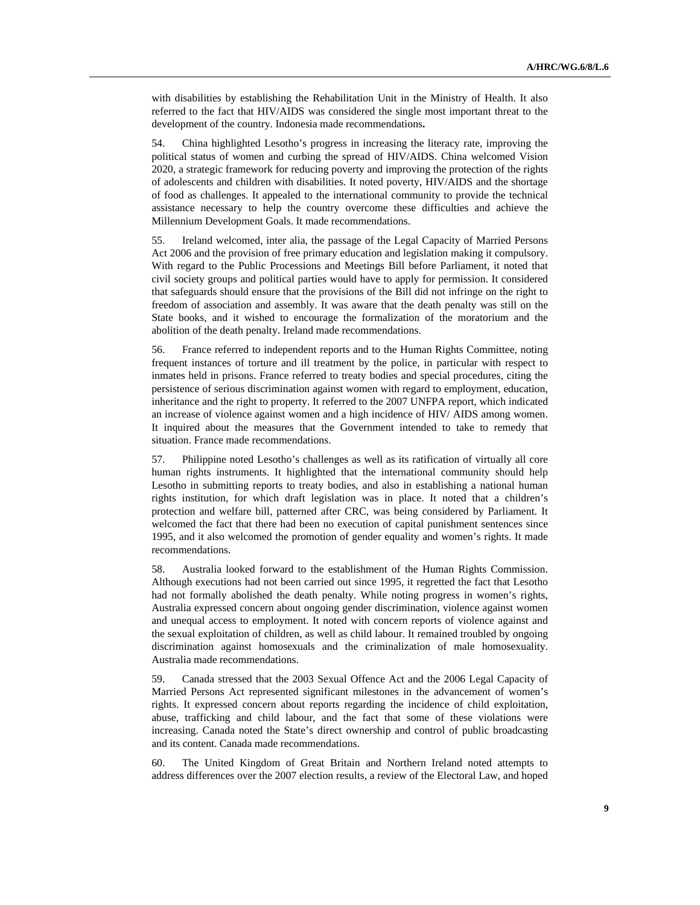with disabilities by establishing the Rehabilitation Unit in the Ministry of Health. It also referred to the fact that HIV/AIDS was considered the single most important threat to the development of the country. Indonesia made recommendations**.** 

54. China highlighted Lesotho's progress in increasing the literacy rate, improving the political status of women and curbing the spread of HIV/AIDS. China welcomed Vision 2020, a strategic framework for reducing poverty and improving the protection of the rights of adolescents and children with disabilities. It noted poverty, HIV/AIDS and the shortage of food as challenges. It appealed to the international community to provide the technical assistance necessary to help the country overcome these difficulties and achieve the Millennium Development Goals. It made recommendations.

55. Ireland welcomed, inter alia, the passage of the Legal Capacity of Married Persons Act 2006 and the provision of free primary education and legislation making it compulsory. With regard to the Public Processions and Meetings Bill before Parliament, it noted that civil society groups and political parties would have to apply for permission. It considered that safeguards should ensure that the provisions of the Bill did not infringe on the right to freedom of association and assembly. It was aware that the death penalty was still on the State books, and it wished to encourage the formalization of the moratorium and the abolition of the death penalty. Ireland made recommendations.

56. France referred to independent reports and to the Human Rights Committee, noting frequent instances of torture and ill treatment by the police, in particular with respect to inmates held in prisons. France referred to treaty bodies and special procedures, citing the persistence of serious discrimination against women with regard to employment, education, inheritance and the right to property. It referred to the 2007 UNFPA report, which indicated an increase of violence against women and a high incidence of HIV/ AIDS among women. It inquired about the measures that the Government intended to take to remedy that situation. France made recommendations.

57. Philippine noted Lesotho's challenges as well as its ratification of virtually all core human rights instruments. It highlighted that the international community should help Lesotho in submitting reports to treaty bodies, and also in establishing a national human rights institution, for which draft legislation was in place. It noted that a children's protection and welfare bill, patterned after CRC, was being considered by Parliament. It welcomed the fact that there had been no execution of capital punishment sentences since 1995, and it also welcomed the promotion of gender equality and women's rights. It made recommendations.

58. Australia looked forward to the establishment of the Human Rights Commission. Although executions had not been carried out since 1995, it regretted the fact that Lesotho had not formally abolished the death penalty. While noting progress in women's rights, Australia expressed concern about ongoing gender discrimination, violence against women and unequal access to employment. It noted with concern reports of violence against and the sexual exploitation of children, as well as child labour. It remained troubled by ongoing discrimination against homosexuals and the criminalization of male homosexuality. Australia made recommendations.

59. Canada stressed that the 2003 Sexual Offence Act and the 2006 Legal Capacity of Married Persons Act represented significant milestones in the advancement of women's rights. It expressed concern about reports regarding the incidence of child exploitation, abuse, trafficking and child labour, and the fact that some of these violations were increasing. Canada noted the State's direct ownership and control of public broadcasting and its content. Canada made recommendations.

60. The United Kingdom of Great Britain and Northern Ireland noted attempts to address differences over the 2007 election results, a review of the Electoral Law, and hoped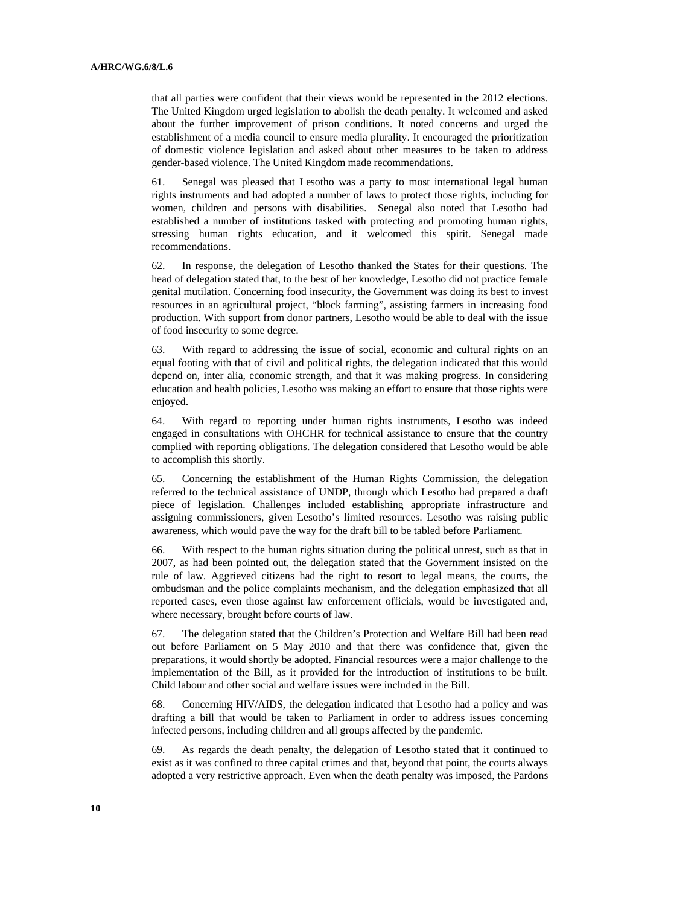that all parties were confident that their views would be represented in the 2012 elections. The United Kingdom urged legislation to abolish the death penalty. It welcomed and asked about the further improvement of prison conditions. It noted concerns and urged the establishment of a media council to ensure media plurality. It encouraged the prioritization of domestic violence legislation and asked about other measures to be taken to address gender-based violence. The United Kingdom made recommendations.

61. Senegal was pleased that Lesotho was a party to most international legal human rights instruments and had adopted a number of laws to protect those rights, including for women, children and persons with disabilities. Senegal also noted that Lesotho had established a number of institutions tasked with protecting and promoting human rights, stressing human rights education, and it welcomed this spirit. Senegal made recommendations.

62. In response, the delegation of Lesotho thanked the States for their questions. The head of delegation stated that, to the best of her knowledge, Lesotho did not practice female genital mutilation. Concerning food insecurity, the Government was doing its best to invest resources in an agricultural project, "block farming", assisting farmers in increasing food production. With support from donor partners, Lesotho would be able to deal with the issue of food insecurity to some degree.

63. With regard to addressing the issue of social, economic and cultural rights on an equal footing with that of civil and political rights, the delegation indicated that this would depend on, inter alia, economic strength, and that it was making progress. In considering education and health policies, Lesotho was making an effort to ensure that those rights were enjoyed.

64. With regard to reporting under human rights instruments, Lesotho was indeed engaged in consultations with OHCHR for technical assistance to ensure that the country complied with reporting obligations. The delegation considered that Lesotho would be able to accomplish this shortly.

65. Concerning the establishment of the Human Rights Commission, the delegation referred to the technical assistance of UNDP, through which Lesotho had prepared a draft piece of legislation. Challenges included establishing appropriate infrastructure and assigning commissioners, given Lesotho's limited resources. Lesotho was raising public awareness, which would pave the way for the draft bill to be tabled before Parliament.

66. With respect to the human rights situation during the political unrest, such as that in 2007, as had been pointed out, the delegation stated that the Government insisted on the rule of law. Aggrieved citizens had the right to resort to legal means, the courts, the ombudsman and the police complaints mechanism, and the delegation emphasized that all reported cases, even those against law enforcement officials, would be investigated and, where necessary, brought before courts of law.

67. The delegation stated that the Children's Protection and Welfare Bill had been read out before Parliament on 5 May 2010 and that there was confidence that, given the preparations, it would shortly be adopted. Financial resources were a major challenge to the implementation of the Bill, as it provided for the introduction of institutions to be built. Child labour and other social and welfare issues were included in the Bill.

68. Concerning HIV/AIDS, the delegation indicated that Lesotho had a policy and was drafting a bill that would be taken to Parliament in order to address issues concerning infected persons, including children and all groups affected by the pandemic.

69. As regards the death penalty, the delegation of Lesotho stated that it continued to exist as it was confined to three capital crimes and that, beyond that point, the courts always adopted a very restrictive approach. Even when the death penalty was imposed, the Pardons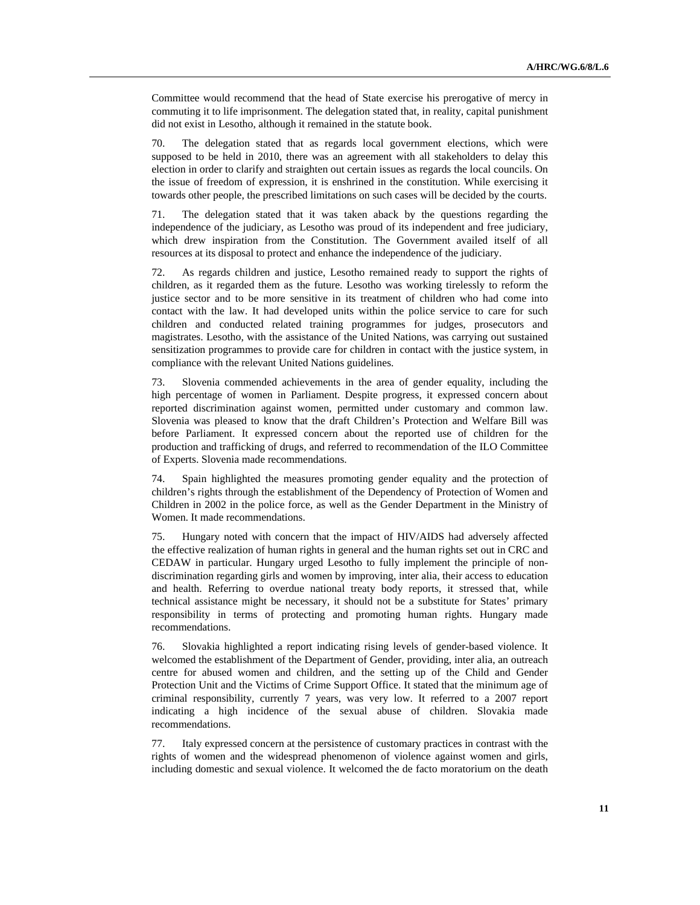Committee would recommend that the head of State exercise his prerogative of mercy in commuting it to life imprisonment. The delegation stated that, in reality, capital punishment did not exist in Lesotho, although it remained in the statute book.

70. The delegation stated that as regards local government elections, which were supposed to be held in 2010, there was an agreement with all stakeholders to delay this election in order to clarify and straighten out certain issues as regards the local councils. On the issue of freedom of expression, it is enshrined in the constitution. While exercising it towards other people, the prescribed limitations on such cases will be decided by the courts.

71. The delegation stated that it was taken aback by the questions regarding the independence of the judiciary, as Lesotho was proud of its independent and free judiciary, which drew inspiration from the Constitution. The Government availed itself of all resources at its disposal to protect and enhance the independence of the judiciary.

72. As regards children and justice, Lesotho remained ready to support the rights of children, as it regarded them as the future. Lesotho was working tirelessly to reform the justice sector and to be more sensitive in its treatment of children who had come into contact with the law. It had developed units within the police service to care for such children and conducted related training programmes for judges, prosecutors and magistrates. Lesotho, with the assistance of the United Nations, was carrying out sustained sensitization programmes to provide care for children in contact with the justice system, in compliance with the relevant United Nations guidelines.

73. Slovenia commended achievements in the area of gender equality, including the high percentage of women in Parliament. Despite progress, it expressed concern about reported discrimination against women, permitted under customary and common law. Slovenia was pleased to know that the draft Children's Protection and Welfare Bill was before Parliament. It expressed concern about the reported use of children for the production and trafficking of drugs, and referred to recommendation of the ILO Committee of Experts. Slovenia made recommendations.

74. Spain highlighted the measures promoting gender equality and the protection of children's rights through the establishment of the Dependency of Protection of Women and Children in 2002 in the police force, as well as the Gender Department in the Ministry of Women. It made recommendations.

75. Hungary noted with concern that the impact of HIV/AIDS had adversely affected the effective realization of human rights in general and the human rights set out in CRC and CEDAW in particular. Hungary urged Lesotho to fully implement the principle of nondiscrimination regarding girls and women by improving, inter alia, their access to education and health. Referring to overdue national treaty body reports, it stressed that, while technical assistance might be necessary, it should not be a substitute for States' primary responsibility in terms of protecting and promoting human rights. Hungary made recommendations.

76. Slovakia highlighted a report indicating rising levels of gender-based violence. It welcomed the establishment of the Department of Gender, providing, inter alia, an outreach centre for abused women and children, and the setting up of the Child and Gender Protection Unit and the Victims of Crime Support Office. It stated that the minimum age of criminal responsibility, currently 7 years, was very low. It referred to a 2007 report indicating a high incidence of the sexual abuse of children. Slovakia made recommendations.

77. Italy expressed concern at the persistence of customary practices in contrast with the rights of women and the widespread phenomenon of violence against women and girls, including domestic and sexual violence. It welcomed the de facto moratorium on the death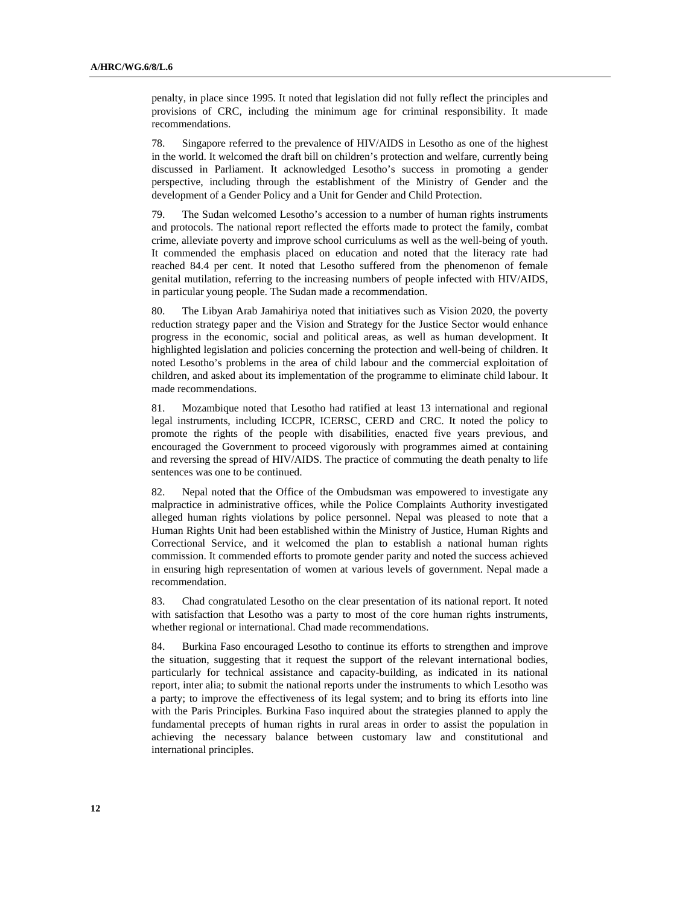penalty, in place since 1995. It noted that legislation did not fully reflect the principles and provisions of CRC, including the minimum age for criminal responsibility. It made recommendations.

78. Singapore referred to the prevalence of HIV/AIDS in Lesotho as one of the highest in the world. It welcomed the draft bill on children's protection and welfare, currently being discussed in Parliament. It acknowledged Lesotho's success in promoting a gender perspective, including through the establishment of the Ministry of Gender and the development of a Gender Policy and a Unit for Gender and Child Protection.

79. The Sudan welcomed Lesotho's accession to a number of human rights instruments and protocols. The national report reflected the efforts made to protect the family, combat crime, alleviate poverty and improve school curriculums as well as the well-being of youth. It commended the emphasis placed on education and noted that the literacy rate had reached 84.4 per cent. It noted that Lesotho suffered from the phenomenon of female genital mutilation, referring to the increasing numbers of people infected with HIV/AIDS, in particular young people. The Sudan made a recommendation.

80. The Libyan Arab Jamahiriya noted that initiatives such as Vision 2020, the poverty reduction strategy paper and the Vision and Strategy for the Justice Sector would enhance progress in the economic, social and political areas, as well as human development. It highlighted legislation and policies concerning the protection and well-being of children. It noted Lesotho's problems in the area of child labour and the commercial exploitation of children, and asked about its implementation of the programme to eliminate child labour. It made recommendations.

81. Mozambique noted that Lesotho had ratified at least 13 international and regional legal instruments, including ICCPR, ICERSC, CERD and CRC. It noted the policy to promote the rights of the people with disabilities, enacted five years previous, and encouraged the Government to proceed vigorously with programmes aimed at containing and reversing the spread of HIV/AIDS. The practice of commuting the death penalty to life sentences was one to be continued.

82. Nepal noted that the Office of the Ombudsman was empowered to investigate any malpractice in administrative offices, while the Police Complaints Authority investigated alleged human rights violations by police personnel. Nepal was pleased to note that a Human Rights Unit had been established within the Ministry of Justice, Human Rights and Correctional Service, and it welcomed the plan to establish a national human rights commission. It commended efforts to promote gender parity and noted the success achieved in ensuring high representation of women at various levels of government. Nepal made a recommendation.

83. Chad congratulated Lesotho on the clear presentation of its national report. It noted with satisfaction that Lesotho was a party to most of the core human rights instruments, whether regional or international. Chad made recommendations.

84. Burkina Faso encouraged Lesotho to continue its efforts to strengthen and improve the situation, suggesting that it request the support of the relevant international bodies, particularly for technical assistance and capacity-building, as indicated in its national report, inter alia; to submit the national reports under the instruments to which Lesotho was a party; to improve the effectiveness of its legal system; and to bring its efforts into line with the Paris Principles. Burkina Faso inquired about the strategies planned to apply the fundamental precepts of human rights in rural areas in order to assist the population in achieving the necessary balance between customary law and constitutional and international principles.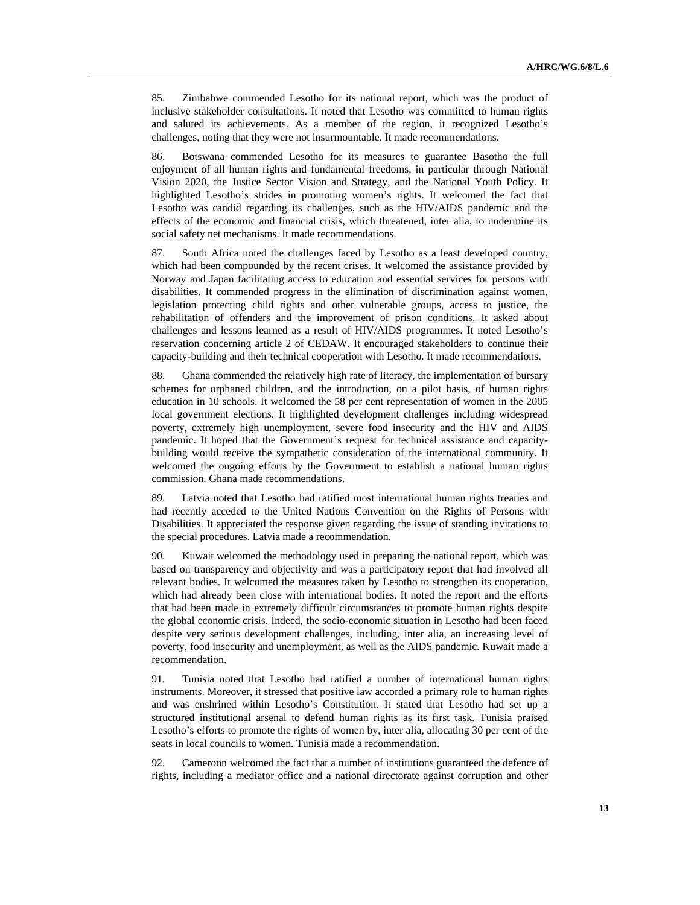85. Zimbabwe commended Lesotho for its national report, which was the product of inclusive stakeholder consultations. It noted that Lesotho was committed to human rights and saluted its achievements. As a member of the region, it recognized Lesotho's challenges, noting that they were not insurmountable. It made recommendations.

86. Botswana commended Lesotho for its measures to guarantee Basotho the full enjoyment of all human rights and fundamental freedoms, in particular through National Vision 2020, the Justice Sector Vision and Strategy, and the National Youth Policy. It highlighted Lesotho's strides in promoting women's rights. It welcomed the fact that Lesotho was candid regarding its challenges, such as the HIV/AIDS pandemic and the effects of the economic and financial crisis, which threatened, inter alia, to undermine its social safety net mechanisms. It made recommendations.

87. South Africa noted the challenges faced by Lesotho as a least developed country, which had been compounded by the recent crises. It welcomed the assistance provided by Norway and Japan facilitating access to education and essential services for persons with disabilities. It commended progress in the elimination of discrimination against women, legislation protecting child rights and other vulnerable groups, access to justice, the rehabilitation of offenders and the improvement of prison conditions. It asked about challenges and lessons learned as a result of HIV/AIDS programmes. It noted Lesotho's reservation concerning article 2 of CEDAW. It encouraged stakeholders to continue their capacity-building and their technical cooperation with Lesotho. It made recommendations.

88. Ghana commended the relatively high rate of literacy, the implementation of bursary schemes for orphaned children, and the introduction, on a pilot basis, of human rights education in 10 schools. It welcomed the 58 per cent representation of women in the 2005 local government elections. It highlighted development challenges including widespread poverty, extremely high unemployment, severe food insecurity and the HIV and AIDS pandemic. It hoped that the Government's request for technical assistance and capacitybuilding would receive the sympathetic consideration of the international community. It welcomed the ongoing efforts by the Government to establish a national human rights commission. Ghana made recommendations.

89. Latvia noted that Lesotho had ratified most international human rights treaties and had recently acceded to the United Nations Convention on the Rights of Persons with Disabilities. It appreciated the response given regarding the issue of standing invitations to the special procedures. Latvia made a recommendation.

90. Kuwait welcomed the methodology used in preparing the national report, which was based on transparency and objectivity and was a participatory report that had involved all relevant bodies. It welcomed the measures taken by Lesotho to strengthen its cooperation, which had already been close with international bodies. It noted the report and the efforts that had been made in extremely difficult circumstances to promote human rights despite the global economic crisis. Indeed, the socio-economic situation in Lesotho had been faced despite very serious development challenges, including, inter alia, an increasing level of poverty, food insecurity and unemployment, as well as the AIDS pandemic. Kuwait made a recommendation.

91. Tunisia noted that Lesotho had ratified a number of international human rights instruments. Moreover, it stressed that positive law accorded a primary role to human rights and was enshrined within Lesotho's Constitution. It stated that Lesotho had set up a structured institutional arsenal to defend human rights as its first task. Tunisia praised Lesotho's efforts to promote the rights of women by, inter alia, allocating 30 per cent of the seats in local councils to women. Tunisia made a recommendation.

92. Cameroon welcomed the fact that a number of institutions guaranteed the defence of rights, including a mediator office and a national directorate against corruption and other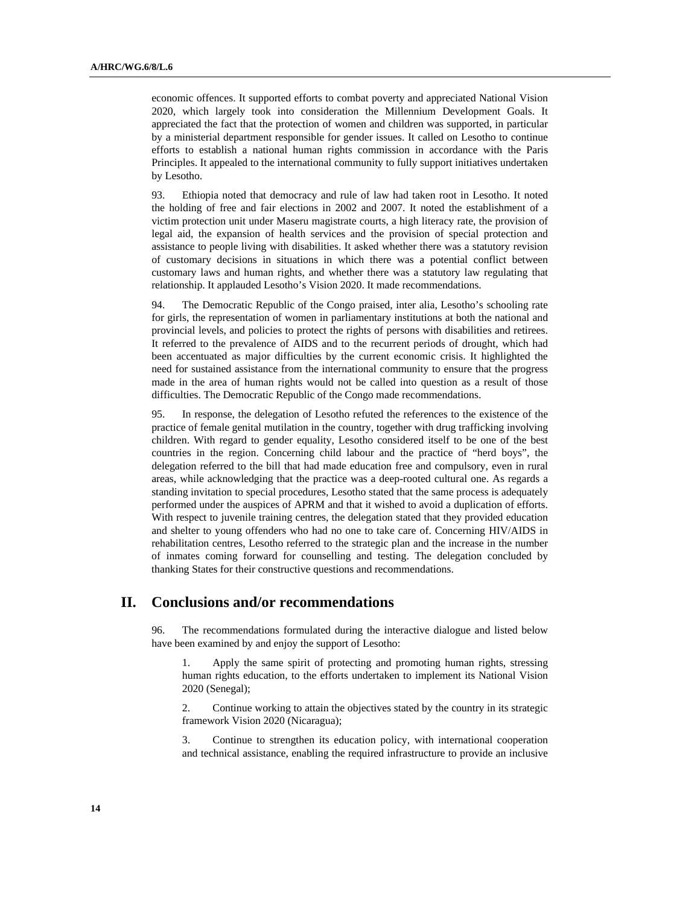economic offences. It supported efforts to combat poverty and appreciated National Vision 2020, which largely took into consideration the Millennium Development Goals. It appreciated the fact that the protection of women and children was supported, in particular by a ministerial department responsible for gender issues. It called on Lesotho to continue efforts to establish a national human rights commission in accordance with the Paris Principles. It appealed to the international community to fully support initiatives undertaken by Lesotho.

93. Ethiopia noted that democracy and rule of law had taken root in Lesotho. It noted the holding of free and fair elections in 2002 and 2007. It noted the establishment of a victim protection unit under Maseru magistrate courts, a high literacy rate, the provision of legal aid, the expansion of health services and the provision of special protection and assistance to people living with disabilities. It asked whether there was a statutory revision of customary decisions in situations in which there was a potential conflict between customary laws and human rights, and whether there was a statutory law regulating that relationship. It applauded Lesotho's Vision 2020. It made recommendations.

94. The Democratic Republic of the Congo praised, inter alia, Lesotho's schooling rate for girls, the representation of women in parliamentary institutions at both the national and provincial levels, and policies to protect the rights of persons with disabilities and retirees. It referred to the prevalence of AIDS and to the recurrent periods of drought, which had been accentuated as major difficulties by the current economic crisis. It highlighted the need for sustained assistance from the international community to ensure that the progress made in the area of human rights would not be called into question as a result of those difficulties. The Democratic Republic of the Congo made recommendations.

95. In response, the delegation of Lesotho refuted the references to the existence of the practice of female genital mutilation in the country, together with drug trafficking involving children. With regard to gender equality, Lesotho considered itself to be one of the best countries in the region. Concerning child labour and the practice of "herd boys", the delegation referred to the bill that had made education free and compulsory, even in rural areas, while acknowledging that the practice was a deep-rooted cultural one. As regards a standing invitation to special procedures, Lesotho stated that the same process is adequately performed under the auspices of APRM and that it wished to avoid a duplication of efforts. With respect to juvenile training centres, the delegation stated that they provided education and shelter to young offenders who had no one to take care of. Concerning HIV/AIDS in rehabilitation centres, Lesotho referred to the strategic plan and the increase in the number of inmates coming forward for counselling and testing. The delegation concluded by thanking States for their constructive questions and recommendations.

# **II. Conclusions and/or recommendations**

96. The recommendations formulated during the interactive dialogue and listed below have been examined by and enjoy the support of Lesotho:

1. Apply the same spirit of protecting and promoting human rights, stressing human rights education, to the efforts undertaken to implement its National Vision 2020 (Senegal);

2. Continue working to attain the objectives stated by the country in its strategic framework Vision 2020 (Nicaragua);

3. Continue to strengthen its education policy, with international cooperation and technical assistance, enabling the required infrastructure to provide an inclusive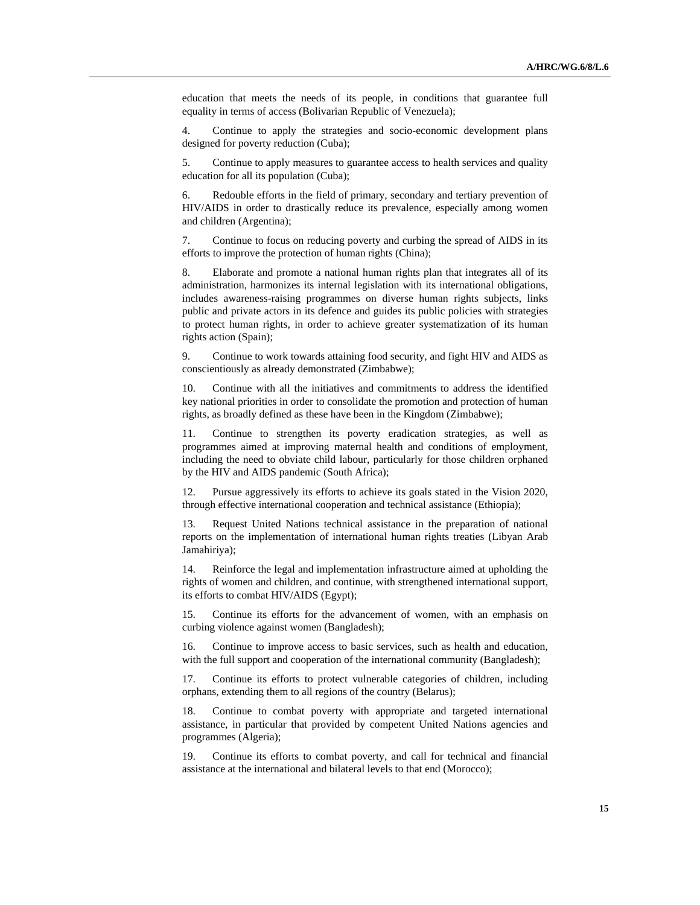education that meets the needs of its people, in conditions that guarantee full equality in terms of access (Bolivarian Republic of Venezuela);

4. Continue to apply the strategies and socio-economic development plans designed for poverty reduction (Cuba);

5. Continue to apply measures to guarantee access to health services and quality education for all its population (Cuba);

6. Redouble efforts in the field of primary, secondary and tertiary prevention of HIV/AIDS in order to drastically reduce its prevalence, especially among women and children (Argentina);

7. Continue to focus on reducing poverty and curbing the spread of AIDS in its efforts to improve the protection of human rights (China);

8. Elaborate and promote a national human rights plan that integrates all of its administration, harmonizes its internal legislation with its international obligations, includes awareness-raising programmes on diverse human rights subjects, links public and private actors in its defence and guides its public policies with strategies to protect human rights, in order to achieve greater systematization of its human rights action (Spain);

9. Continue to work towards attaining food security, and fight HIV and AIDS as conscientiously as already demonstrated (Zimbabwe);

10. Continue with all the initiatives and commitments to address the identified key national priorities in order to consolidate the promotion and protection of human rights, as broadly defined as these have been in the Kingdom (Zimbabwe);

11. Continue to strengthen its poverty eradication strategies, as well as programmes aimed at improving maternal health and conditions of employment, including the need to obviate child labour, particularly for those children orphaned by the HIV and AIDS pandemic (South Africa);

12. Pursue aggressively its efforts to achieve its goals stated in the Vision 2020, through effective international cooperation and technical assistance (Ethiopia);

Request United Nations technical assistance in the preparation of national reports on the implementation of international human rights treaties (Libyan Arab Jamahiriya);

14. Reinforce the legal and implementation infrastructure aimed at upholding the rights of women and children, and continue, with strengthened international support, its efforts to combat HIV/AIDS (Egypt);

15. Continue its efforts for the advancement of women, with an emphasis on curbing violence against women (Bangladesh);

16. Continue to improve access to basic services, such as health and education, with the full support and cooperation of the international community (Bangladesh);

17. Continue its efforts to protect vulnerable categories of children, including orphans, extending them to all regions of the country (Belarus);

18. Continue to combat poverty with appropriate and targeted international assistance, in particular that provided by competent United Nations agencies and programmes (Algeria);

19. Continue its efforts to combat poverty, and call for technical and financial assistance at the international and bilateral levels to that end (Morocco);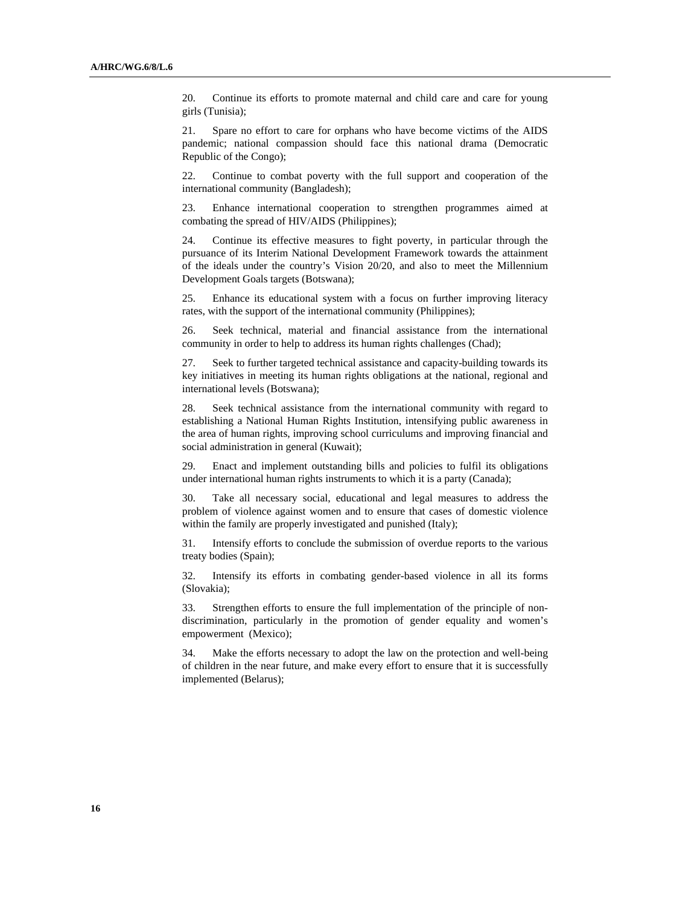20. Continue its efforts to promote maternal and child care and care for young girls (Tunisia);

21. Spare no effort to care for orphans who have become victims of the AIDS pandemic; national compassion should face this national drama (Democratic Republic of the Congo);

22. Continue to combat poverty with the full support and cooperation of the international community (Bangladesh);

23. Enhance international cooperation to strengthen programmes aimed at combating the spread of HIV/AIDS (Philippines);

24. Continue its effective measures to fight poverty, in particular through the pursuance of its Interim National Development Framework towards the attainment of the ideals under the country's Vision 20/20, and also to meet the Millennium Development Goals targets (Botswana);

25. Enhance its educational system with a focus on further improving literacy rates, with the support of the international community (Philippines);

26. Seek technical, material and financial assistance from the international community in order to help to address its human rights challenges (Chad);

27. Seek to further targeted technical assistance and capacity-building towards its key initiatives in meeting its human rights obligations at the national, regional and international levels (Botswana);

28. Seek technical assistance from the international community with regard to establishing a National Human Rights Institution, intensifying public awareness in the area of human rights, improving school curriculums and improving financial and social administration in general (Kuwait);

29. Enact and implement outstanding bills and policies to fulfil its obligations under international human rights instruments to which it is a party (Canada);

30. Take all necessary social, educational and legal measures to address the problem of violence against women and to ensure that cases of domestic violence within the family are properly investigated and punished (Italy);

31. Intensify efforts to conclude the submission of overdue reports to the various treaty bodies (Spain);

32. Intensify its efforts in combating gender-based violence in all its forms (Slovakia);

33. Strengthen efforts to ensure the full implementation of the principle of nondiscrimination, particularly in the promotion of gender equality and women's empowerment (Mexico);

34. Make the efforts necessary to adopt the law on the protection and well-being of children in the near future, and make every effort to ensure that it is successfully implemented (Belarus);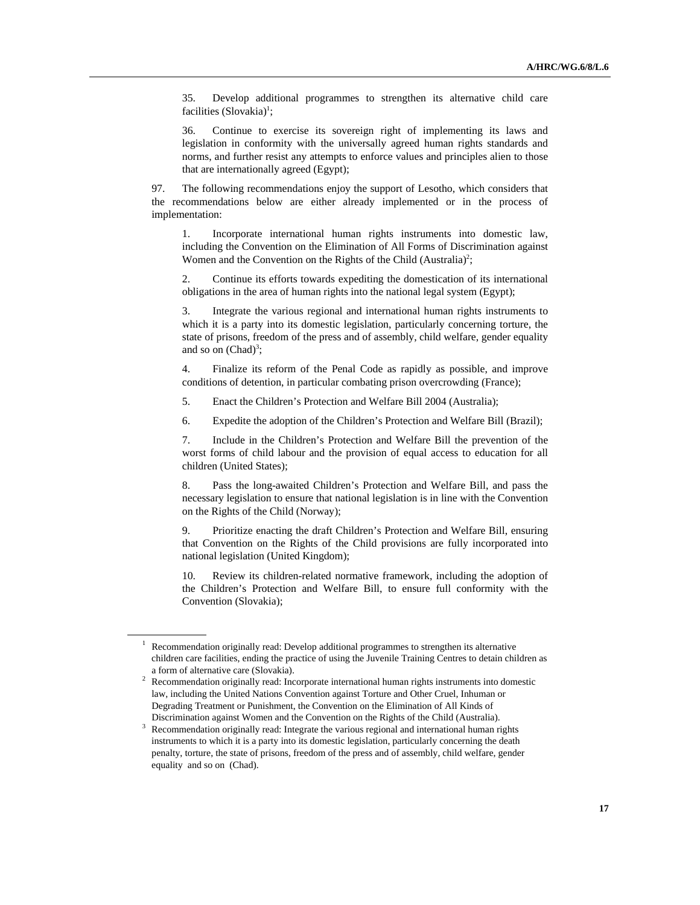35. Develop additional programmes to strengthen its alternative child care facilities (Slovakia)<sup>1</sup>;

36. Continue to exercise its sovereign right of implementing its laws and legislation in conformity with the universally agreed human rights standards and norms, and further resist any attempts to enforce values and principles alien to those that are internationally agreed (Egypt);

97. The following recommendations enjoy the support of Lesotho, which considers that the recommendations below are either already implemented or in the process of implementation:

1. Incorporate international human rights instruments into domestic law, including the Convention on the Elimination of All Forms of Discrimination against Women and the Convention on the Rights of the Child  $(A$ ustralia)<sup>2</sup>;

2. Continue its efforts towards expediting the domestication of its international obligations in the area of human rights into the national legal system (Egypt);

3. Integrate the various regional and international human rights instruments to which it is a party into its domestic legislation, particularly concerning torture, the state of prisons, freedom of the press and of assembly, child welfare, gender equality and so on  $(Chad)^3$ ;

4. Finalize its reform of the Penal Code as rapidly as possible, and improve conditions of detention, in particular combating prison overcrowding (France);

5. Enact the Children's Protection and Welfare Bill 2004 (Australia);

6. Expedite the adoption of the Children's Protection and Welfare Bill (Brazil);

7. Include in the Children's Protection and Welfare Bill the prevention of the worst forms of child labour and the provision of equal access to education for all children (United States);

8. Pass the long-awaited Children's Protection and Welfare Bill, and pass the necessary legislation to ensure that national legislation is in line with the Convention on the Rights of the Child (Norway);

9. Prioritize enacting the draft Children's Protection and Welfare Bill, ensuring that Convention on the Rights of the Child provisions are fully incorporated into national legislation (United Kingdom);

10. Review its children-related normative framework, including the adoption of the Children's Protection and Welfare Bill, to ensure full conformity with the Convention (Slovakia);

<sup>&</sup>lt;sup>1</sup> Recommendation originally read: Develop additional programmes to strengthen its alternative children care facilities, ending the practice of using the Juvenile Training Centres to detain children as a form of alternative care (Slovakia).

<sup>2</sup> Recommendation originally read: Incorporate international human rights instruments into domestic law, including the United Nations Convention against Torture and Other Cruel, Inhuman or Degrading Treatment or Punishment, the Convention on the Elimination of All Kinds of Discrimination against Women and the Convention on the Rights of the Child (Australia). 3

<sup>&</sup>lt;sup>3</sup> Recommendation originally read: Integrate the various regional and international human rights instruments to which it is a party into its domestic legislation, particularly concerning the death penalty, torture, the state of prisons, freedom of the press and of assembly, child welfare, gender equality and so on (Chad).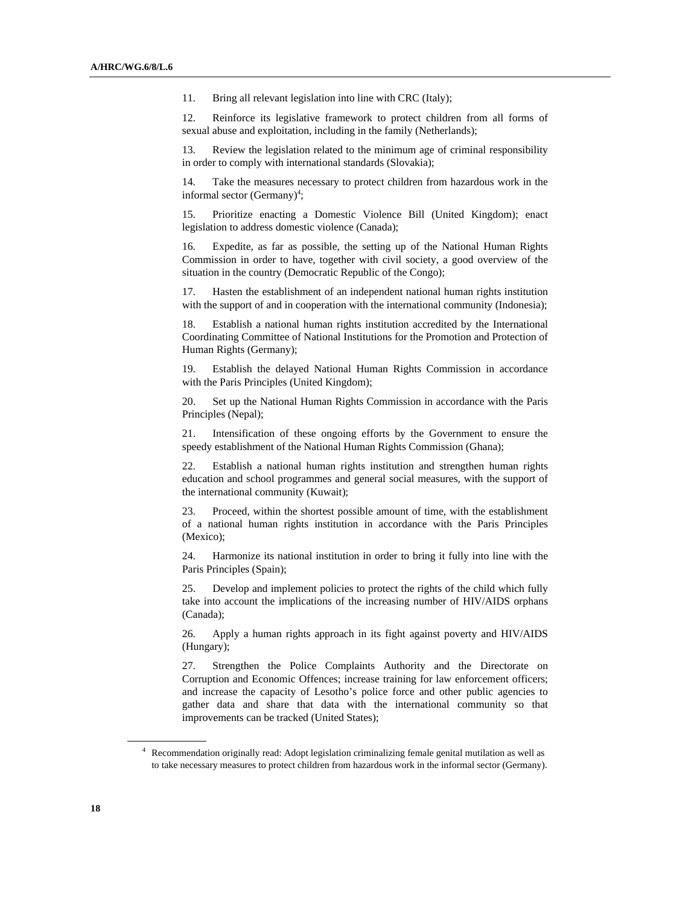11. Bring all relevant legislation into line with CRC (Italy);

12. Reinforce its legislative framework to protect children from all forms of sexual abuse and exploitation, including in the family (Netherlands);

13. Review the legislation related to the minimum age of criminal responsibility in order to comply with international standards (Slovakia);

14. Take the measures necessary to protect children from hazardous work in the informal sector (Germany)<sup>4</sup>;

15. Prioritize enacting a Domestic Violence Bill (United Kingdom); enact legislation to address domestic violence (Canada);

16. Expedite, as far as possible, the setting up of the National Human Rights Commission in order to have, together with civil society, a good overview of the situation in the country (Democratic Republic of the Congo);

17. Hasten the establishment of an independent national human rights institution with the support of and in cooperation with the international community (Indonesia);

18. Establish a national human rights institution accredited by the International Coordinating Committee of National Institutions for the Promotion and Protection of Human Rights (Germany);

19. Establish the delayed National Human Rights Commission in accordance with the Paris Principles (United Kingdom);

20. Set up the National Human Rights Commission in accordance with the Paris Principles (Nepal);

21. Intensification of these ongoing efforts by the Government to ensure the speedy establishment of the National Human Rights Commission (Ghana);

22. Establish a national human rights institution and strengthen human rights education and school programmes and general social measures, with the support of the international community (Kuwait);

23. Proceed, within the shortest possible amount of time, with the establishment of a national human rights institution in accordance with the Paris Principles (Mexico);

24. Harmonize its national institution in order to bring it fully into line with the Paris Principles (Spain);

25. Develop and implement policies to protect the rights of the child which fully take into account the implications of the increasing number of HIV/AIDS orphans (Canada);

26. Apply a human rights approach in its fight against poverty and HIV/AIDS (Hungary);

27. Strengthen the Police Complaints Authority and the Directorate on Corruption and Economic Offences; increase training for law enforcement officers; and increase the capacity of Lesotho's police force and other public agencies to gather data and share that data with the international community so that improvements can be tracked (United States);

<sup>4</sup> Recommendation originally read: Adopt legislation criminalizing female genital mutilation as well as to take necessary measures to protect children from hazardous work in the informal sector (Germany).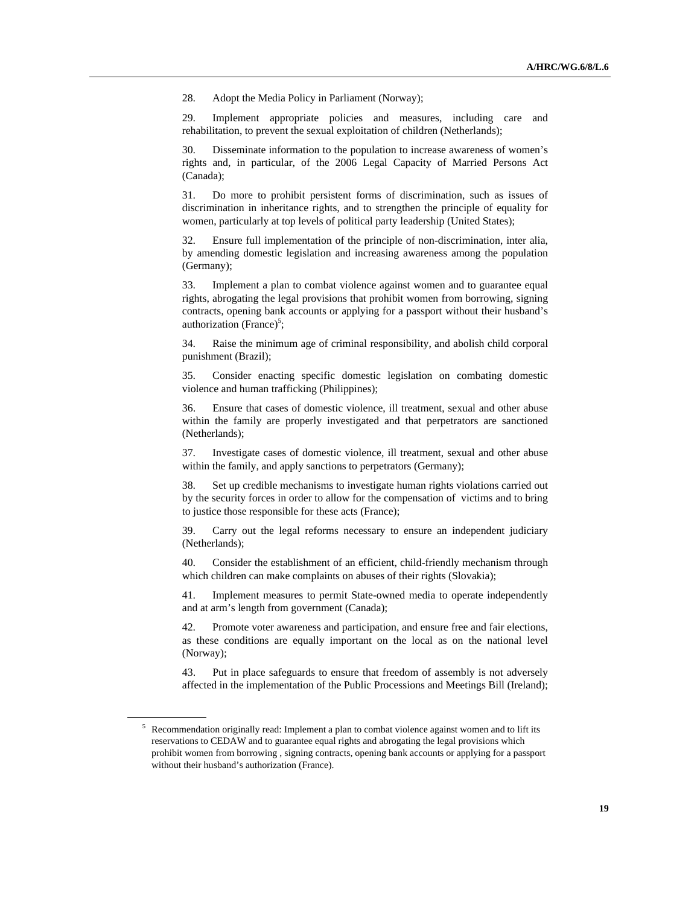28. Adopt the Media Policy in Parliament (Norway);

29. Implement appropriate policies and measures, including care and rehabilitation, to prevent the sexual exploitation of children (Netherlands);

30. Disseminate information to the population to increase awareness of women's rights and, in particular, of the 2006 Legal Capacity of Married Persons Act (Canada);

31. Do more to prohibit persistent forms of discrimination, such as issues of discrimination in inheritance rights, and to strengthen the principle of equality for women, particularly at top levels of political party leadership (United States);

32. Ensure full implementation of the principle of non-discrimination, inter alia, by amending domestic legislation and increasing awareness among the population (Germany);

33. Implement a plan to combat violence against women and to guarantee equal rights, abrogating the legal provisions that prohibit women from borrowing, signing contracts, opening bank accounts or applying for a passport without their husband's authorization (France)<sup>5</sup>;

34. Raise the minimum age of criminal responsibility, and abolish child corporal punishment (Brazil);

35. Consider enacting specific domestic legislation on combating domestic violence and human trafficking (Philippines);

36. Ensure that cases of domestic violence, ill treatment, sexual and other abuse within the family are properly investigated and that perpetrators are sanctioned (Netherlands);

37. Investigate cases of domestic violence, ill treatment, sexual and other abuse within the family, and apply sanctions to perpetrators (Germany);

38. Set up credible mechanisms to investigate human rights violations carried out by the security forces in order to allow for the compensation of victims and to bring to justice those responsible for these acts (France);

39. Carry out the legal reforms necessary to ensure an independent judiciary (Netherlands);

40. Consider the establishment of an efficient, child-friendly mechanism through which children can make complaints on abuses of their rights (Slovakia);

41. Implement measures to permit State-owned media to operate independently and at arm's length from government (Canada);

42. Promote voter awareness and participation, and ensure free and fair elections, as these conditions are equally important on the local as on the national level (Norway);

43. Put in place safeguards to ensure that freedom of assembly is not adversely affected in the implementation of the Public Processions and Meetings Bill (Ireland);

 $5$  Recommendation originally read: Implement a plan to combat violence against women and to lift its reservations to CEDAW and to guarantee equal rights and abrogating the legal provisions which prohibit women from borrowing , signing contracts, opening bank accounts or applying for a passport without their husband's authorization (France).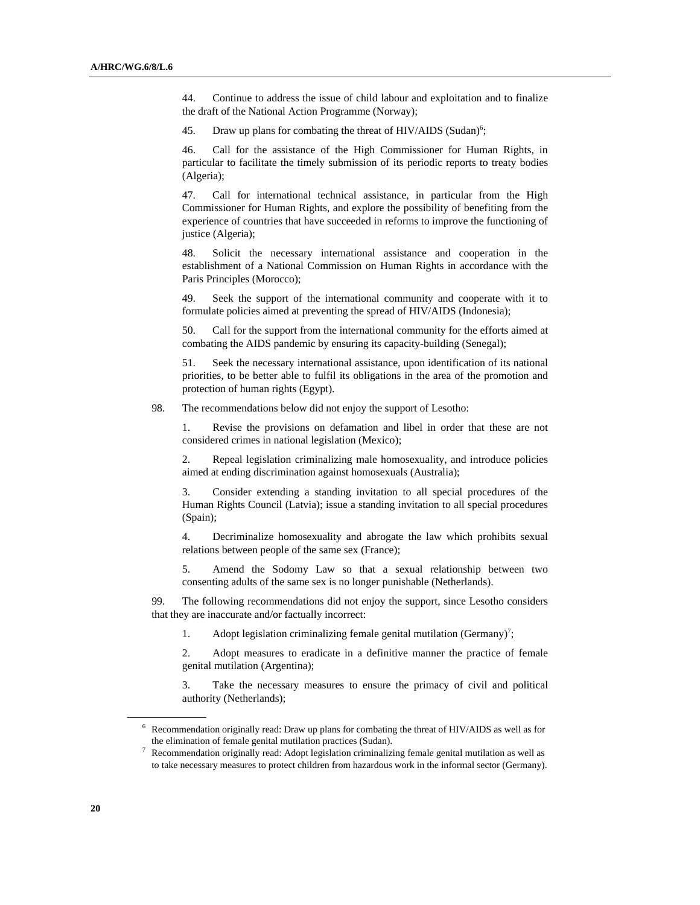44. Continue to address the issue of child labour and exploitation and to finalize the draft of the National Action Programme (Norway);

45. Draw up plans for combating the threat of HIV/AIDS (Sudan)<sup>6</sup>;

46. Call for the assistance of the High Commissioner for Human Rights, in particular to facilitate the timely submission of its periodic reports to treaty bodies (Algeria);

47. Call for international technical assistance, in particular from the High Commissioner for Human Rights, and explore the possibility of benefiting from the experience of countries that have succeeded in reforms to improve the functioning of justice (Algeria);

48. Solicit the necessary international assistance and cooperation in the establishment of a National Commission on Human Rights in accordance with the Paris Principles (Morocco);

49. Seek the support of the international community and cooperate with it to formulate policies aimed at preventing the spread of HIV/AIDS (Indonesia);

50. Call for the support from the international community for the efforts aimed at combating the AIDS pandemic by ensuring its capacity-building (Senegal);

51. Seek the necessary international assistance, upon identification of its national priorities, to be better able to fulfil its obligations in the area of the promotion and protection of human rights (Egypt).

98. The recommendations below did not enjoy the support of Lesotho:

1. Revise the provisions on defamation and libel in order that these are not considered crimes in national legislation (Mexico);

2. Repeal legislation criminalizing male homosexuality, and introduce policies aimed at ending discrimination against homosexuals (Australia);

3. Consider extending a standing invitation to all special procedures of the Human Rights Council (Latvia); issue a standing invitation to all special procedures (Spain);

4. Decriminalize homosexuality and abrogate the law which prohibits sexual relations between people of the same sex (France);

5. Amend the Sodomy Law so that a sexual relationship between two consenting adults of the same sex is no longer punishable (Netherlands).

99. The following recommendations did not enjoy the support, since Lesotho considers that they are inaccurate and/or factually incorrect:

1. Adopt legislation criminalizing female genital mutilation (Germany)<sup>7</sup>;

2. Adopt measures to eradicate in a definitive manner the practice of female genital mutilation (Argentina);

3. Take the necessary measures to ensure the primacy of civil and political authority (Netherlands);

<sup>&</sup>lt;sup>6</sup> Recommendation originally read: Draw up plans for combating the threat of HIV/AIDS as well as for

the elimination of female genital mutilation practices (Sudan).<br><sup>7</sup> Recommendation originally read: Adopt legislation criminalizing female genital mutilation as well as to take necessary measures to protect children from hazardous work in the informal sector (Germany).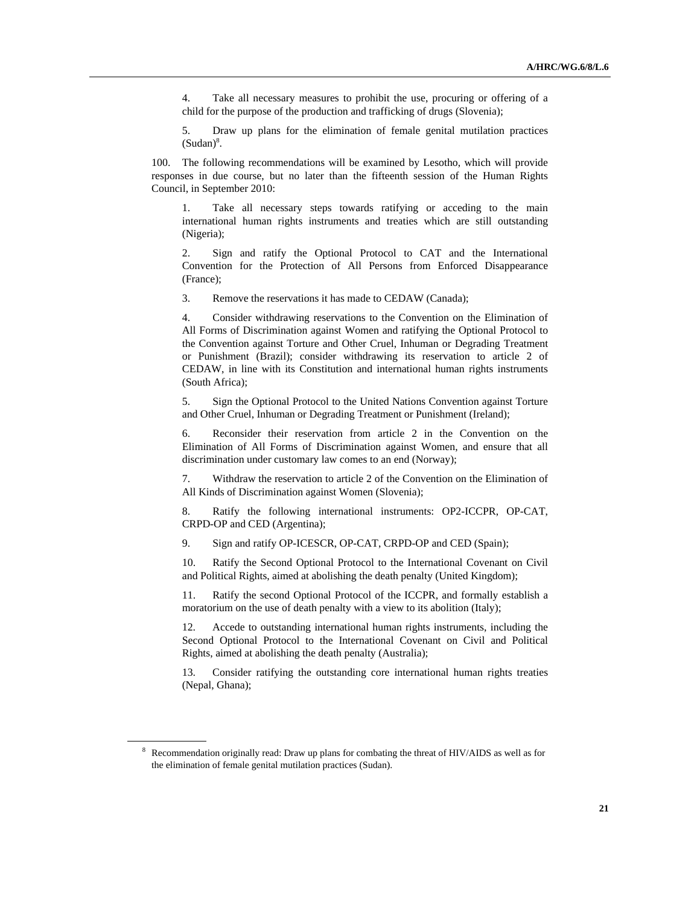4. Take all necessary measures to prohibit the use, procuring or offering of a child for the purpose of the production and trafficking of drugs (Slovenia);

5. Draw up plans for the elimination of female genital mutilation practices  $(Sudan)<sup>8</sup>$ .

100. The following recommendations will be examined by Lesotho, which will provide responses in due course, but no later than the fifteenth session of the Human Rights Council, in September 2010:

1. Take all necessary steps towards ratifying or acceding to the main international human rights instruments and treaties which are still outstanding (Nigeria);

2. Sign and ratify the Optional Protocol to CAT and the International Convention for the Protection of All Persons from Enforced Disappearance (France);

3. Remove the reservations it has made to CEDAW (Canada);

4. Consider withdrawing reservations to the Convention on the Elimination of All Forms of Discrimination against Women and ratifying the Optional Protocol to the Convention against Torture and Other Cruel, Inhuman or Degrading Treatment or Punishment (Brazil); consider withdrawing its reservation to article 2 of CEDAW, in line with its Constitution and international human rights instruments (South Africa);

5. Sign the Optional Protocol to the United Nations Convention against Torture and Other Cruel, Inhuman or Degrading Treatment or Punishment (Ireland);

6. Reconsider their reservation from article 2 in the Convention on the Elimination of All Forms of Discrimination against Women, and ensure that all discrimination under customary law comes to an end (Norway);

7. Withdraw the reservation to article 2 of the Convention on the Elimination of All Kinds of Discrimination against Women (Slovenia);

8. Ratify the following international instruments: OP2-ICCPR, OP-CAT, CRPD-OP and CED (Argentina);

9. Sign and ratify OP-ICESCR, OP-CAT, CRPD-OP and CED (Spain);

10. Ratify the Second Optional Protocol to the International Covenant on Civil and Political Rights, aimed at abolishing the death penalty (United Kingdom);

11. Ratify the second Optional Protocol of the ICCPR, and formally establish a moratorium on the use of death penalty with a view to its abolition (Italy);

12. Accede to outstanding international human rights instruments, including the Second Optional Protocol to the International Covenant on Civil and Political Rights, aimed at abolishing the death penalty (Australia);

13. Consider ratifying the outstanding core international human rights treaties (Nepal, Ghana);

<sup>&</sup>lt;sup>8</sup> Recommendation originally read: Draw up plans for combating the threat of HIV/AIDS as well as for the elimination of female genital mutilation practices (Sudan).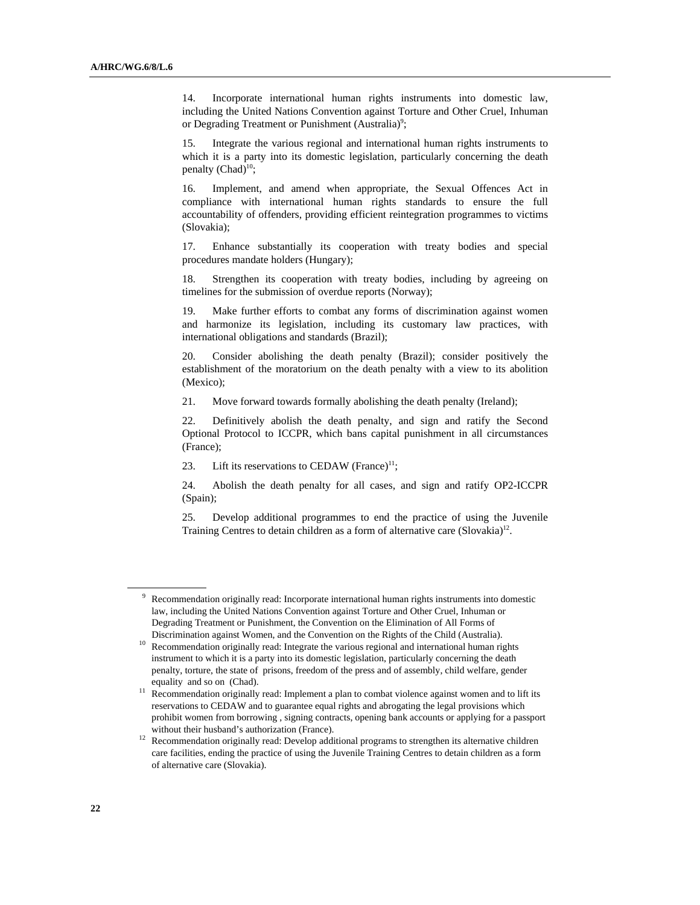14. Incorporate international human rights instruments into domestic law, including the United Nations Convention against Torture and Other Cruel, Inhuman or Degrading Treatment or Punishment (Australia)<sup>9</sup>;

15. Integrate the various regional and international human rights instruments to which it is a party into its domestic legislation, particularly concerning the death penalty  $(Chad)^{10}$ ;

16. Implement, and amend when appropriate, the Sexual Offences Act in compliance with international human rights standards to ensure the full accountability of offenders, providing efficient reintegration programmes to victims (Slovakia);

17. Enhance substantially its cooperation with treaty bodies and special procedures mandate holders (Hungary);

18. Strengthen its cooperation with treaty bodies, including by agreeing on timelines for the submission of overdue reports (Norway);

19. Make further efforts to combat any forms of discrimination against women and harmonize its legislation, including its customary law practices, with international obligations and standards (Brazil);

20. Consider abolishing the death penalty (Brazil); consider positively the establishment of the moratorium on the death penalty with a view to its abolition (Mexico);

21. Move forward towards formally abolishing the death penalty (Ireland);

22. Definitively abolish the death penalty, and sign and ratify the Second Optional Protocol to ICCPR, which bans capital punishment in all circumstances (France);

23. Lift its reservations to CEDAW (France) $11$ ;

24. Abolish the death penalty for all cases, and sign and ratify OP2-ICCPR (Spain);

25. Develop additional programmes to end the practice of using the Juvenile Training Centres to detain children as a form of alternative care  $(Slovakia)^{12}$ .

<sup>&</sup>lt;sup>9</sup> Recommendation originally read: Incorporate international human rights instruments into domestic law, including the United Nations Convention against Torture and Other Cruel, Inhuman or Degrading Treatment or Punishment, the Convention on the Elimination of All Forms of

Discrimination against Women, and the Convention on the Rights of the Child (Australia). 10 Recommendation originally read: Integrate the various regional and international human rights instrument to which it is a party into its domestic legislation, particularly concerning the death penalty, torture, the state of prisons, freedom of the press and of assembly, child welfare, gender

equality and so on (Chad).  $11$  Recommendation originally read: Implement a plan to combat violence against women and to lift its reservations to CEDAW and to guarantee equal rights and abrogating the legal provisions which prohibit women from borrowing , signing contracts, opening bank accounts or applying for a passport

without their husband's authorization (France).<br><sup>12</sup> Recommendation originally read: Develop additional programs to strengthen its alternative children care facilities, ending the practice of using the Juvenile Training Centres to detain children as a form of alternative care (Slovakia).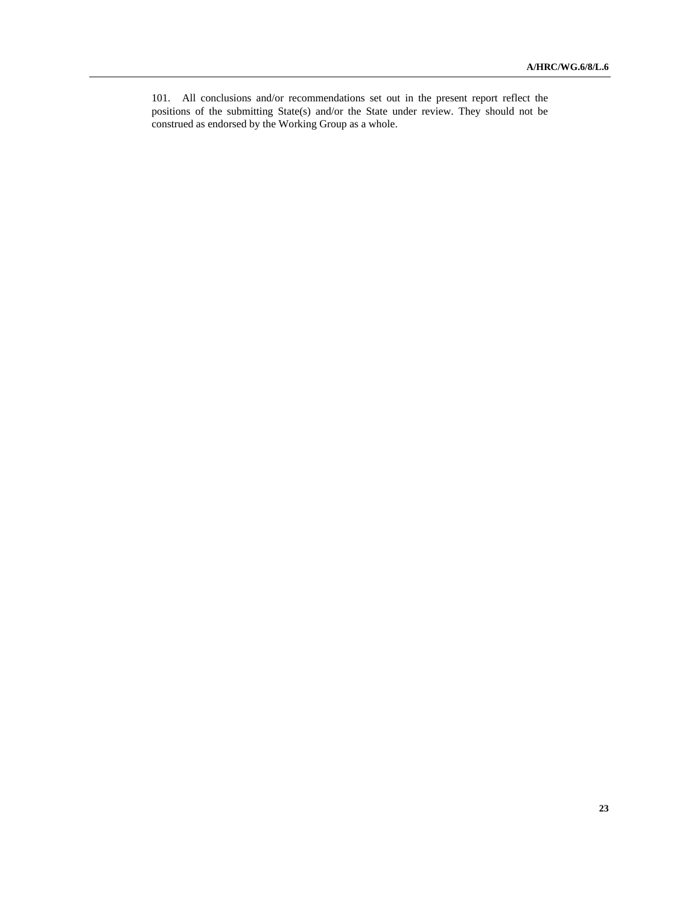101. All conclusions and/or recommendations set out in the present report reflect the positions of the submitting State(s) and/or the State under review. They should not be construed as endorsed by the Working Group as a whole.